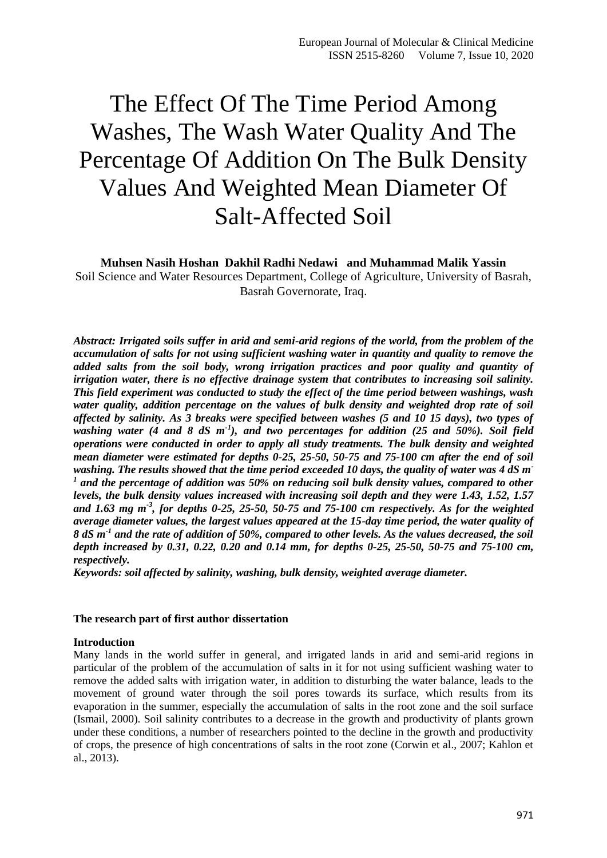# The Effect Of The Time Period Among Washes, The Wash Water Quality And The Percentage Of Addition On The Bulk Density Values And Weighted Mean Diameter Of Salt-Affected Soil

**Muhsen Nasih Hoshan Dakhil Radhi Nedawi and Muhammad Malik Yassin** Soil Science and Water Resources Department, College of Agriculture, University of Basrah,

Basrah Governorate, Iraq.

*Abstract: Irrigated soils suffer in arid and semi-arid regions of the world, from the problem of the accumulation of salts for not using sufficient washing water in quantity and quality to remove the added salts from the soil body, wrong irrigation practices and poor quality and quantity of irrigation water, there is no effective drainage system that contributes to increasing soil salinity. This field experiment was conducted to study the effect of the time period between washings, wash water quality, addition percentage on the values of bulk density and weighted drop rate of soil affected by salinity. As 3 breaks were specified between washes (5 and 10 15 days), two types of washing water (4 and 8 dS m-1 ), and two percentages for addition (25 and 50%). Soil field operations were conducted in order to apply all study treatments. The bulk density and weighted mean diameter were estimated for depths 0-25, 25-50, 50-75 and 75-100 cm after the end of soil washing. The results showed that the time period exceeded 10 days, the quality of water was 4 dS m-1 and the percentage of addition was 50% on reducing soil bulk density values, compared to other levels, the bulk density values increased with increasing soil depth and they were 1.43, 1.52, 1.57 and 1.63 mg m-3 , for depths 0-25, 25-50, 50-75 and 75-100 cm respectively. As for the weighted average diameter values, the largest values appeared at the 15-day time period, the water quality of 8 dS m-1 and the rate of addition of 50%, compared to other levels. As the values decreased, the soil depth increased by 0.31, 0.22, 0.20 and 0.14 mm, for depths 0-25, 25-50, 50-75 and 75-100 cm, respectively.*

*Keywords: soil affected by salinity, washing, bulk density, weighted average diameter.*

## **The research part of first author dissertation**

### **Introduction**

Many lands in the world suffer in general, and irrigated lands in arid and semi-arid regions in particular of the problem of the accumulation of salts in it for not using sufficient washing water to remove the added salts with irrigation water, in addition to disturbing the water balance, leads to the movement of ground water through the soil pores towards its surface, which results from its evaporation in the summer, especially the accumulation of salts in the root zone and the soil surface (Ismail, 2000). Soil salinity contributes to a decrease in the growth and productivity of plants grown under these conditions, a number of researchers pointed to the decline in the growth and productivity of crops, the presence of high concentrations of salts in the root zone (Corwin et al., 2007; Kahlon et al., 2013).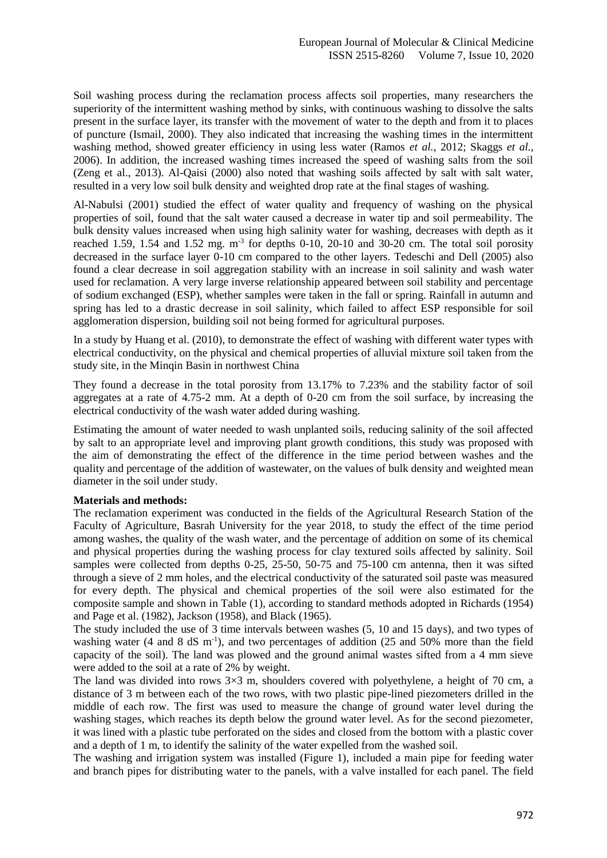Soil washing process during the reclamation process affects soil properties, many researchers the superiority of the intermittent washing method by sinks, with continuous washing to dissolve the salts present in the surface layer, its transfer with the movement of water to the depth and from it to places of puncture (Ismail, 2000). They also indicated that increasing the washing times in the intermittent washing method, showed greater efficiency in using less water (Ramos *et al.*, 2012; Skaggs *et al.*, 2006). In addition, the increased washing times increased the speed of washing salts from the soil (Zeng et al., 2013). Al-Qaisi (2000) also noted that washing soils affected by salt with salt water, resulted in a very low soil bulk density and weighted drop rate at the final stages of washing.

Al-Nabulsi (2001) studied the effect of water quality and frequency of washing on the physical properties of soil, found that the salt water caused a decrease in water tip and soil permeability. The bulk density values increased when using high salinity water for washing, decreases with depth as it reached 1.59, 1.54 and 1.52 mg.  $m^{-3}$  for depths 0-10, 20-10 and 30-20 cm. The total soil porosity decreased in the surface layer 0-10 cm compared to the other layers. Tedeschi and Dell (2005) also found a clear decrease in soil aggregation stability with an increase in soil salinity and wash water used for reclamation. A very large inverse relationship appeared between soil stability and percentage of sodium exchanged (ESP), whether samples were taken in the fall or spring. Rainfall in autumn and spring has led to a drastic decrease in soil salinity, which failed to affect ESP responsible for soil agglomeration dispersion, building soil not being formed for agricultural purposes.

In a study by Huang et al. (2010), to demonstrate the effect of washing with different water types with electrical conductivity, on the physical and chemical properties of alluvial mixture soil taken from the study site, in the Minqin Basin in northwest China

They found a decrease in the total porosity from 13.17% to 7.23% and the stability factor of soil aggregates at a rate of 4.75-2 mm. At a depth of 0-20 cm from the soil surface, by increasing the electrical conductivity of the wash water added during washing.

Estimating the amount of water needed to wash unplanted soils, reducing salinity of the soil affected by salt to an appropriate level and improving plant growth conditions, this study was proposed with the aim of demonstrating the effect of the difference in the time period between washes and the quality and percentage of the addition of wastewater, on the values of bulk density and weighted mean diameter in the soil under study.

### **Materials and methods:**

The reclamation experiment was conducted in the fields of the Agricultural Research Station of the Faculty of Agriculture, Basrah University for the year 2018, to study the effect of the time period among washes, the quality of the wash water, and the percentage of addition on some of its chemical and physical properties during the washing process for clay textured soils affected by salinity. Soil samples were collected from depths 0-25, 25-50, 50-75 and 75-100 cm antenna, then it was sifted through a sieve of 2 mm holes, and the electrical conductivity of the saturated soil paste was measured for every depth. The physical and chemical properties of the soil were also estimated for the composite sample and shown in Table (1), according to standard methods adopted in Richards (1954) and Page et al. (1982), Jackson (1958), and Black (1965).

The study included the use of 3 time intervals between washes (5, 10 and 15 days), and two types of washing water (4 and 8 dS m<sup>-1</sup>), and two percentages of addition (25 and 50% more than the field capacity of the soil). The land was plowed and the ground animal wastes sifted from a 4 mm sieve were added to the soil at a rate of 2% by weight.

The land was divided into rows  $3\times3$  m, shoulders covered with polyethylene, a height of 70 cm, a distance of 3 m between each of the two rows, with two plastic pipe-lined piezometers drilled in the middle of each row. The first was used to measure the change of ground water level during the washing stages, which reaches its depth below the ground water level. As for the second piezometer, it was lined with a plastic tube perforated on the sides and closed from the bottom with a plastic cover and a depth of 1 m, to identify the salinity of the water expelled from the washed soil.

The washing and irrigation system was installed (Figure 1), included a main pipe for feeding water and branch pipes for distributing water to the panels, with a valve installed for each panel. The field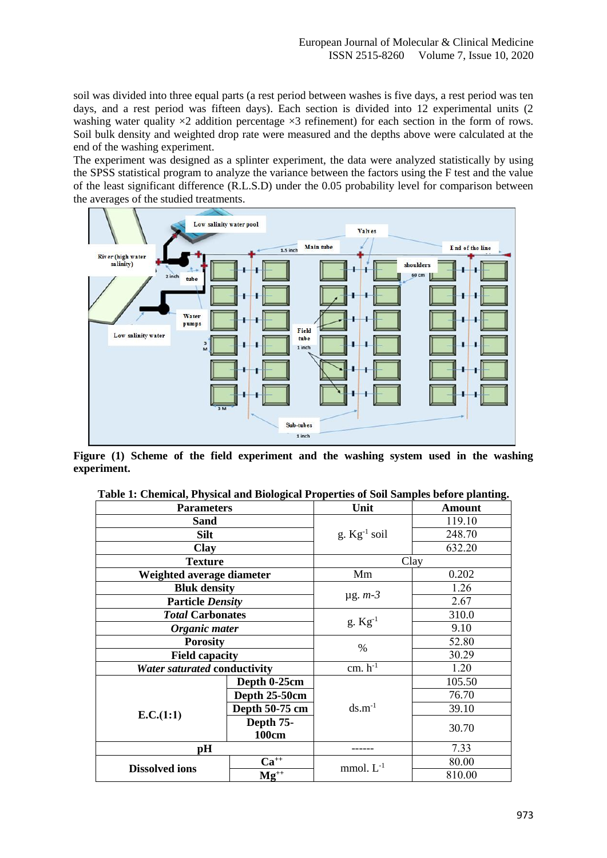soil was divided into three equal parts (a rest period between washes is five days, a rest period was ten days, and a rest period was fifteen days). Each section is divided into 12 experimental units (2 washing water quality  $\times 2$  addition percentage  $\times 3$  refinement) for each section in the form of rows. Soil bulk density and weighted drop rate were measured and the depths above were calculated at the end of the washing experiment.

The experiment was designed as a splinter experiment, the data were analyzed statistically by using the SPSS statistical program to analyze the variance between the factors using the F test and the value of the least significant difference (R.L.S.D) under the 0.05 probability level for comparison between the averages of the studied treatments.



**Figure (1) Scheme of the field experiment and the washing system used in the washing experiment.**

| <b>Parameters</b>            |                           | Unit                  | <b>Amount</b> |
|------------------------------|---------------------------|-----------------------|---------------|
| Sand                         |                           |                       | 119.10        |
| <b>Silt</b>                  |                           | g. $Kg^{-1}$ soil     | 248.70        |
| Clay                         |                           |                       | 632.20        |
| <b>Texture</b>               |                           | Clay                  |               |
| Weighted average diameter    |                           | Mm                    | 0.202         |
| <b>Bluk density</b>          |                           | $\mu$ g. $m-3$        | 1.26          |
| <b>Particle Density</b>      |                           |                       | 2.67          |
| <b>Total Carbonates</b>      |                           | $g.$ Kg <sup>-1</sup> | 310.0         |
| Organic mater                |                           |                       | 9.10          |
| <b>Porosity</b>              |                           | %                     | 52.80         |
| <b>Field capacity</b>        |                           |                       | 30.29         |
| Water saturated conductivity |                           | $cm. h^{-1}$          | 1.20          |
|                              | Depth 0-25cm              | $ds.m^{-1}$           | 105.50        |
|                              | Depth 25-50cm             |                       | 76.70         |
| E.C.(1:1)                    | Depth 50-75 cm            |                       | 39.10         |
|                              | Depth 75-<br><b>100cm</b> |                       | 30.70         |
| pН                           |                           |                       | 7.33          |
| <b>Dissolved ions</b>        | $Ca^{++}$                 |                       | 80.00         |
|                              | $Mg^{++}$                 | mmol. $L^{-1}$        | 810.00        |

**Table 1: Chemical, Physical and Biological Properties of Soil Samples before planting.**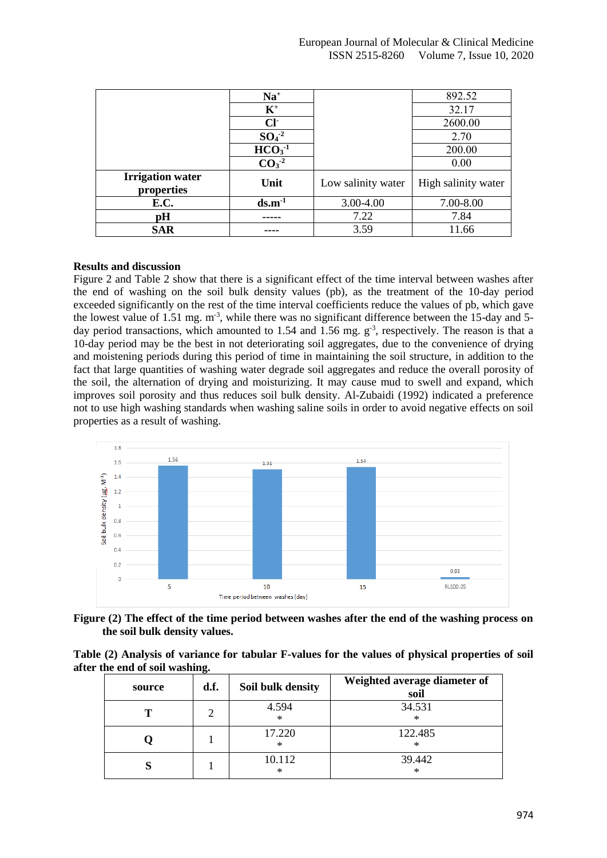|                                       | $Na+$                   |                    | 892.52              |
|---------------------------------------|-------------------------|--------------------|---------------------|
|                                       | $K^+$                   |                    | 32.17               |
|                                       | $Cl+$                   |                    | 2600.00             |
|                                       | $SO4-2$                 |                    | 2.70                |
|                                       | $\overline{HCO_3}^{-1}$ |                    | 200.00              |
|                                       | $CO3-2$                 |                    | 0.00                |
| <b>Irrigation water</b><br>properties | Unit                    | Low salinity water | High salinity water |
| E.C.                                  | $ds.m-1$                | 3.00-4.00          | 7.00-8.00           |
| pH                                    | ----                    | 7.22               | 7.84                |
| <b>SAR</b>                            |                         | 3.59               | 11.66               |

# **Results and discussion**

Figure 2 and Table 2 show that there is a significant effect of the time interval between washes after the end of washing on the soil bulk density values (pb), as the treatment of the 10-day period exceeded significantly on the rest of the time interval coefficients reduce the values of pb, which gave the lowest value of 1.51 mg. m<sup>-3</sup>, while there was no significant difference between the 15-day and 5day period transactions, which amounted to 1.54 and 1.56 mg.  $g^{-3}$ , respectively. The reason is that a 10-day period may be the best in not deteriorating soil aggregates, due to the convenience of drying and moistening periods during this period of time in maintaining the soil structure, in addition to the fact that large quantities of washing water degrade soil aggregates and reduce the overall porosity of the soil, the alternation of drying and moisturizing. It may cause mud to swell and expand, which improves soil porosity and thus reduces soil bulk density. Al-Zubaidi (1992) indicated a preference not to use high washing standards when washing saline soils in order to avoid negative effects on soil properties as a result of washing.



**Figure (2) The effect of the time period between washes after the end of the washing process on the soil bulk density values.**

| Table (2) Analysis of variance for tabular F-values for the values of physical properties of soil |  |  |  |
|---------------------------------------------------------------------------------------------------|--|--|--|
| after the end of soil washing.                                                                    |  |  |  |

| source | d.f. | Soil bulk density | Weighted average diameter of<br>soil |
|--------|------|-------------------|--------------------------------------|
| Т      | ာ    | 4.594<br>$\ast$   | 34.531<br>$\ast$                     |
|        |      | 17.220<br>×       | 122.485<br>$\ast$                    |
| O      |      | 10.112<br>×       | 39.442<br>∗                          |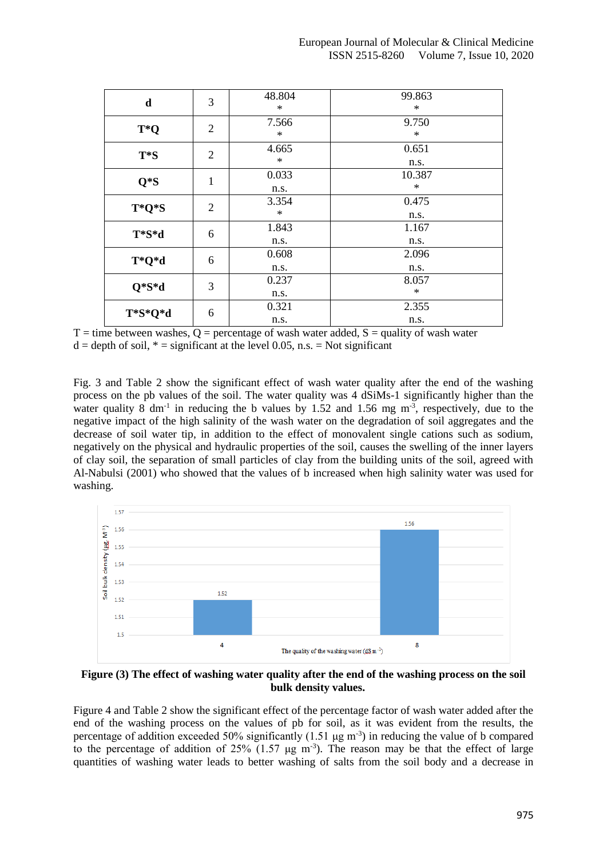| $\mathbf d$ | 3              | 48.804<br>$\ast$ | 99.863<br>$\ast$ |
|-------------|----------------|------------------|------------------|
| T*Q         | $\overline{2}$ | 7.566<br>$\ast$  | 9.750<br>∗       |
| $T*S$       | $\overline{2}$ | 4.665<br>$\ast$  | 0.651<br>n.s.    |
| $Q*S$       | $\mathbf{1}$   | 0.033<br>n.s.    | 10.387<br>∗      |
| T*Q*S       | $\overline{2}$ | 3.354<br>$\ast$  | 0.475<br>n.s.    |
| T*S*d       | 6              | 1.843<br>n.s.    | 1.167<br>n.s.    |
| T*Q*d       | 6              | 0.608<br>n.s.    | 2.096<br>n.s.    |
| $Q*S*d$     | 3              | 0.237<br>n.s.    | 8.057<br>$\ast$  |
| T*S*Q*d     | 6              | 0.321<br>n.s.    | 2.355<br>n.s.    |

 $T =$  time between washes,  $Q =$  percentage of wash water added,  $S =$  quality of wash water  $d =$  depth of soil,  $* =$  significant at the level 0.05, n.s. = Not significant

Fig. 3 and Table 2 show the significant effect of wash water quality after the end of the washing process on the pb values of the soil. The water quality was 4 dSiMs-1 significantly higher than the water quality 8  $dm^{-1}$  in reducing the b values by 1.52 and 1.56 mg  $m^{-3}$ , respectively, due to the negative impact of the high salinity of the wash water on the degradation of soil aggregates and the decrease of soil water tip, in addition to the effect of monovalent single cations such as sodium, negatively on the physical and hydraulic properties of the soil, causes the swelling of the inner layers of clay soil, the separation of small particles of clay from the building units of the soil, agreed with Al-Nabulsi (2001) who showed that the values of b increased when high salinity water was used for washing.



**Figure (3) The effect of washing water quality after the end of the washing process on the soil bulk density values.**

Figure 4 and Table 2 show the significant effect of the percentage factor of wash water added after the end of the washing process on the values of pb for soil, as it was evident from the results, the percentage of addition exceeded 50% significantly  $(1.51 \mu g m^{-3})$  in reducing the value of b compared to the percentage of addition of 25% (1.57  $\mu$ g m<sup>-3</sup>). The reason may be that the effect of large quantities of washing water leads to better washing of salts from the soil body and a decrease in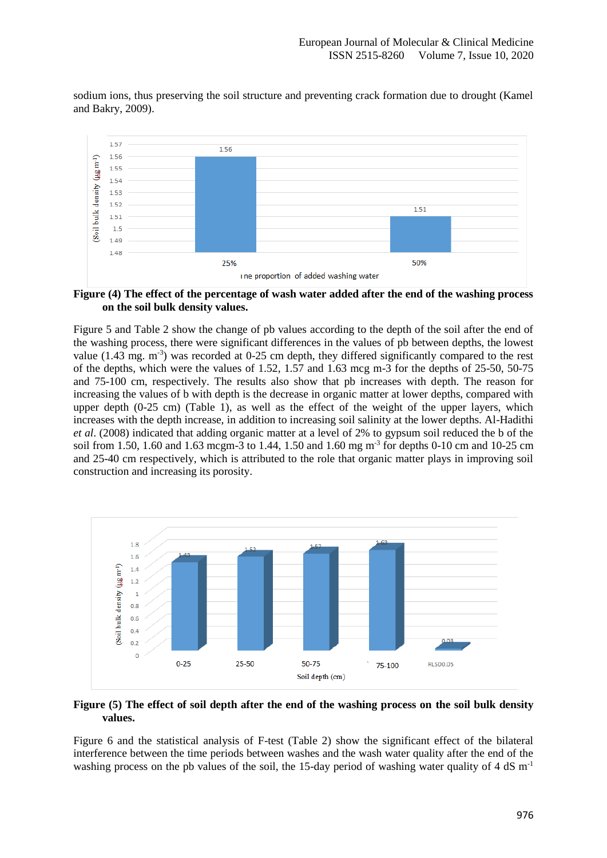sodium ions, thus preserving the soil structure and preventing crack formation due to drought (Kamel and Bakry, 2009).



**Figure (4) The effect of the percentage of wash water added after the end of the washing process on the soil bulk density values.**

Figure 5 and Table 2 show the change of pb values according to the depth of the soil after the end of the washing process, there were significant differences in the values of pb between depths, the lowest value (1.43 mg. m<sup>-3</sup>) was recorded at 0-25 cm depth, they differed significantly compared to the rest of the depths, which were the values of 1.52, 1.57 and 1.63 mcg m-3 for the depths of 25-50, 50-75 and 75-100 cm, respectively. The results also show that pb increases with depth. The reason for increasing the values of b with depth is the decrease in organic matter at lower depths, compared with upper depth (0-25 cm) (Table 1), as well as the effect of the weight of the upper layers, which increases with the depth increase, in addition to increasing soil salinity at the lower depths. Al-Hadithi *et al*. (2008) indicated that adding organic matter at a level of 2% to gypsum soil reduced the b of the soil from 1.50, 1.60 and 1.63 mcgm-3 to 1.44, 1.50 and 1.60 mg m<sup>-3</sup> for depths 0-10 cm and 10-25 cm and 25-40 cm respectively, which is attributed to the role that organic matter plays in improving soil construction and increasing its porosity.



**Figure (5) The effect of soil depth after the end of the washing process on the soil bulk density values.**

Figure 6 and the statistical analysis of F-test (Table 2) show the significant effect of the bilateral interference between the time periods between washes and the wash water quality after the end of the washing process on the pb values of the soil, the 15-day period of washing water quality of 4 dS  $m^{-1}$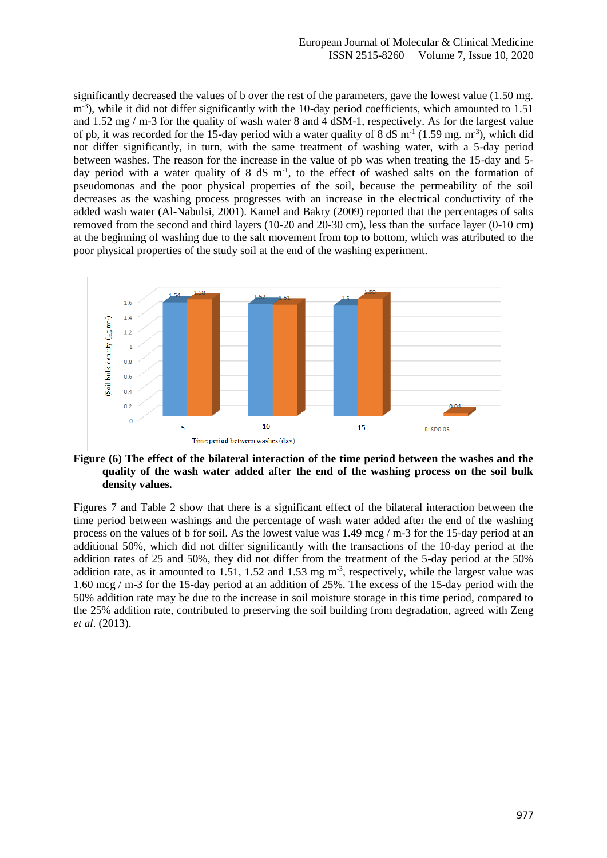significantly decreased the values of b over the rest of the parameters, gave the lowest value (1.50 mg. m<sup>-3</sup>), while it did not differ significantly with the 10-day period coefficients, which amounted to 1.51 and 1.52 mg / m-3 for the quality of wash water 8 and 4 dSM-1, respectively. As for the largest value of pb, it was recorded for the 15-day period with a water quality of 8 dS  $m^{-1}$  (1.59 mg.  $m^{-3}$ ), which did not differ significantly, in turn, with the same treatment of washing water, with a 5-day period between washes. The reason for the increase in the value of pb was when treating the 15-day and 5 day period with a water quality of  $8 \text{ dS } m^{-1}$ , to the effect of washed salts on the formation of pseudomonas and the poor physical properties of the soil, because the permeability of the soil decreases as the washing process progresses with an increase in the electrical conductivity of the added wash water (Al-Nabulsi, 2001). Kamel and Bakry (2009) reported that the percentages of salts removed from the second and third layers (10-20 and 20-30 cm), less than the surface layer (0-10 cm) at the beginning of washing due to the salt movement from top to bottom, which was attributed to the poor physical properties of the study soil at the end of the washing experiment.



# **Figure (6) The effect of the bilateral interaction of the time period between the washes and the quality of the wash water added after the end of the washing process on the soil bulk density values.**

Figures 7 and Table 2 show that there is a significant effect of the bilateral interaction between the time period between washings and the percentage of wash water added after the end of the washing process on the values of b for soil. As the lowest value was 1.49 mcg / m-3 for the 15-day period at an additional 50%, which did not differ significantly with the transactions of the 10-day period at the addition rates of 25 and 50%, they did not differ from the treatment of the 5-day period at the 50% addition rate, as it amounted to  $1.51$ ,  $1.52$  and  $1.53$  mg m<sup>-3</sup>, respectively, while the largest value was 1.60 mcg / m-3 for the 15-day period at an addition of 25%. The excess of the 15-day period with the 50% addition rate may be due to the increase in soil moisture storage in this time period, compared to the 25% addition rate, contributed to preserving the soil building from degradation, agreed with Zeng *et al*. (2013).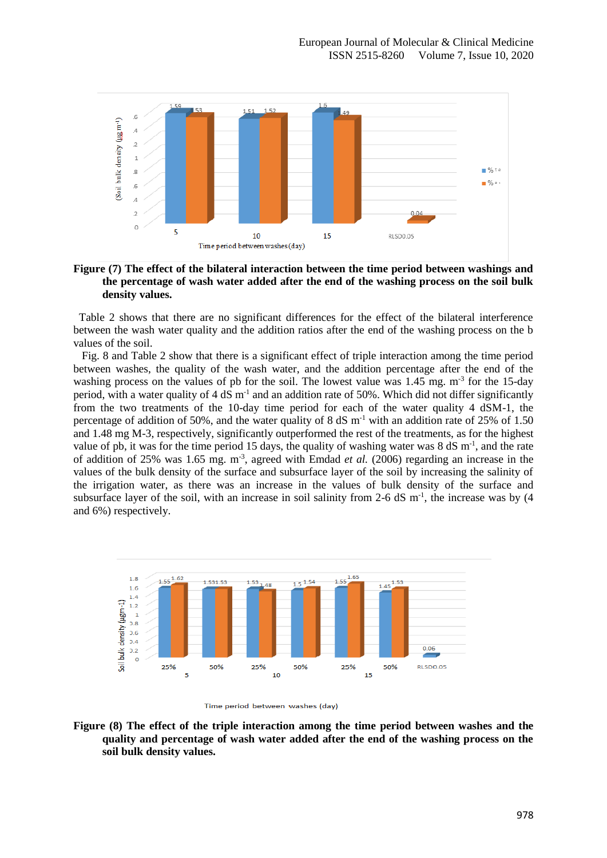

## **Figure (7) The effect of the bilateral interaction between the time period between washings and the percentage of wash water added after the end of the washing process on the soil bulk density values.**

 Table 2 shows that there are no significant differences for the effect of the bilateral interference between the wash water quality and the addition ratios after the end of the washing process on the b values of the soil.

 Fig. 8 and Table 2 show that there is a significant effect of triple interaction among the time period between washes, the quality of the wash water, and the addition percentage after the end of the washing process on the values of pb for the soil. The lowest value was 1.45 mg. m<sup>-3</sup> for the 15-day period, with a water quality of 4 dS m<sup>-1</sup> and an addition rate of 50%. Which did not differ significantly from the two treatments of the 10-day time period for each of the water quality 4 dSM-1, the percentage of addition of 50%, and the water quality of 8 dS  $m<sup>-1</sup>$  with an addition rate of 25% of 1.50 and 1.48 mg M-3, respectively, significantly outperformed the rest of the treatments, as for the highest value of pb, it was for the time period 15 days, the quality of washing water was  $8 \text{ dS m}^{-1}$ , and the rate of addition of 25% was 1.65 mg. m-3 , agreed with Emdad *et al.* (2006) regarding an increase in the values of the bulk density of the surface and subsurface layer of the soil by increasing the salinity of the irrigation water, as there was an increase in the values of bulk density of the surface and subsurface layer of the soil, with an increase in soil salinity from 2-6  $dS$  m<sup>-1</sup>, the increase was by (4 and 6%) respectively.





**Figure (8) The effect of the triple interaction among the time period between washes and the quality and percentage of wash water added after the end of the washing process on the soil bulk density values.**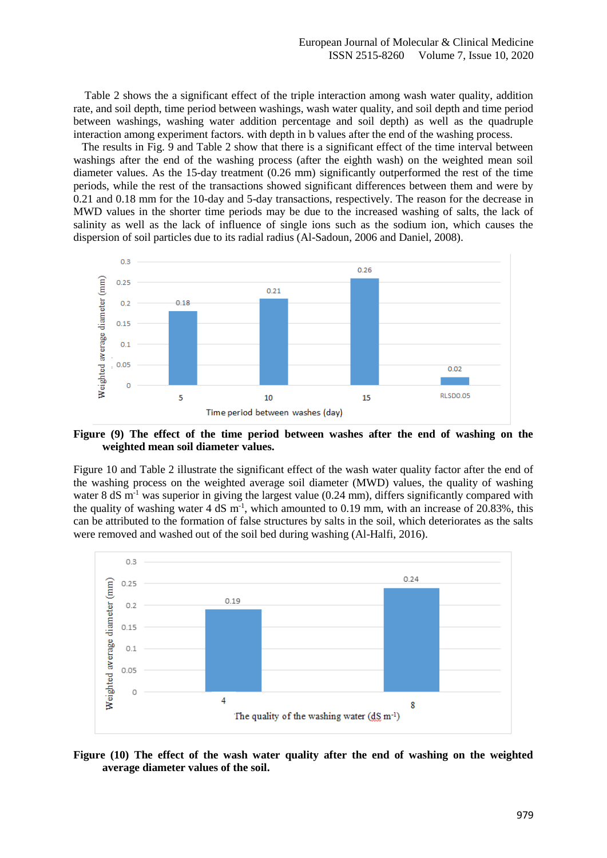Table 2 shows the a significant effect of the triple interaction among wash water quality, addition rate, and soil depth, time period between washings, wash water quality, and soil depth and time period between washings, washing water addition percentage and soil depth) as well as the quadruple interaction among experiment factors. with depth in b values after the end of the washing process.

 The results in Fig. 9 and Table 2 show that there is a significant effect of the time interval between washings after the end of the washing process (after the eighth wash) on the weighted mean soil diameter values. As the 15-day treatment (0.26 mm) significantly outperformed the rest of the time periods, while the rest of the transactions showed significant differences between them and were by 0.21 and 0.18 mm for the 10-day and 5-day transactions, respectively. The reason for the decrease in MWD values in the shorter time periods may be due to the increased washing of salts, the lack of salinity as well as the lack of influence of single ions such as the sodium ion, which causes the dispersion of soil particles due to its radial radius (Al-Sadoun, 2006 and Daniel, 2008).



**Figure (9) The effect of the time period between washes after the end of washing on the weighted mean soil diameter values.**

Figure 10 and Table 2 illustrate the significant effect of the wash water quality factor after the end of the washing process on the weighted average soil diameter (MWD) values, the quality of washing water 8 dS  $m^{-1}$  was superior in giving the largest value (0.24 mm), differs significantly compared with the quality of washing water  $4 \text{ dS m}^{-1}$ , which amounted to 0.19 mm, with an increase of 20.83%, this can be attributed to the formation of false structures by salts in the soil, which deteriorates as the salts were removed and washed out of the soil bed during washing (Al-Halfi, 2016).



**Figure (10) The effect of the wash water quality after the end of washing on the weighted average diameter values of the soil.**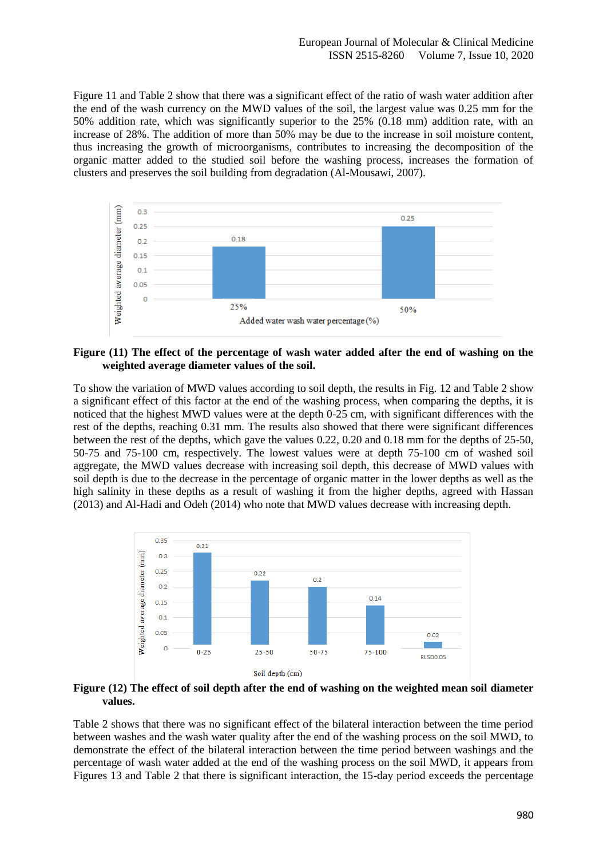Figure 11 and Table 2 show that there was a significant effect of the ratio of wash water addition after the end of the wash currency on the MWD values of the soil, the largest value was 0.25 mm for the 50% addition rate, which was significantly superior to the 25% (0.18 mm) addition rate, with an increase of 28%. The addition of more than 50% may be due to the increase in soil moisture content, thus increasing the growth of microorganisms, contributes to increasing the decomposition of the organic matter added to the studied soil before the washing process, increases the formation of clusters and preserves the soil building from degradation (Al-Mousawi, 2007).



**Figure (11) The effect of the percentage of wash water added after the end of washing on the weighted average diameter values of the soil.**

To show the variation of MWD values according to soil depth, the results in Fig. 12 and Table 2 show a significant effect of this factor at the end of the washing process, when comparing the depths, it is noticed that the highest MWD values were at the depth 0-25 cm, with significant differences with the rest of the depths, reaching 0.31 mm. The results also showed that there were significant differences between the rest of the depths, which gave the values 0.22, 0.20 and 0.18 mm for the depths of 25-50, 50-75 and 75-100 cm, respectively. The lowest values were at depth 75-100 cm of washed soil aggregate, the MWD values decrease with increasing soil depth, this decrease of MWD values with soil depth is due to the decrease in the percentage of organic matter in the lower depths as well as the high salinity in these depths as a result of washing it from the higher depths, agreed with Hassan (2013) and Al-Hadi and Odeh (2014) who note that MWD values decrease with increasing depth.



**Figure (12) The effect of soil depth after the end of washing on the weighted mean soil diameter values.**

Table 2 shows that there was no significant effect of the bilateral interaction between the time period between washes and the wash water quality after the end of the washing process on the soil MWD, to demonstrate the effect of the bilateral interaction between the time period between washings and the percentage of wash water added at the end of the washing process on the soil MWD, it appears from Figures 13 and Table 2 that there is significant interaction, the 15-day period exceeds the percentage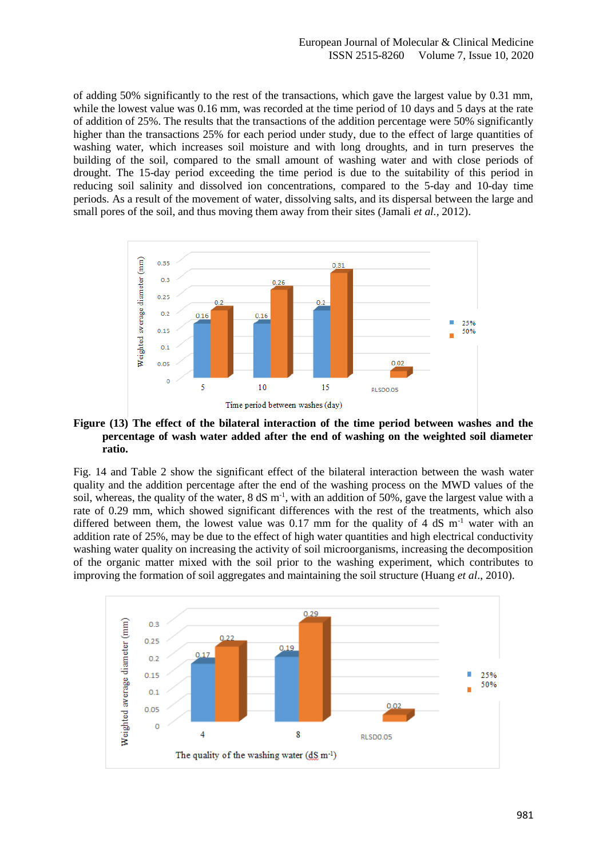of adding 50% significantly to the rest of the transactions, which gave the largest value by 0.31 mm, while the lowest value was 0.16 mm, was recorded at the time period of 10 days and 5 days at the rate of addition of 25%. The results that the transactions of the addition percentage were 50% significantly higher than the transactions 25% for each period under study, due to the effect of large quantities of washing water, which increases soil moisture and with long droughts, and in turn preserves the building of the soil, compared to the small amount of washing water and with close periods of drought. The 15-day period exceeding the time period is due to the suitability of this period in reducing soil salinity and dissolved ion concentrations, compared to the 5-day and 10-day time periods. As a result of the movement of water, dissolving salts, and its dispersal between the large and small pores of the soil, and thus moving them away from their sites (Jamali *et al.*, 2012).



## **Figure (13) The effect of the bilateral interaction of the time period between washes and the percentage of wash water added after the end of washing on the weighted soil diameter ratio.**

Fig. 14 and Table 2 show the significant effect of the bilateral interaction between the wash water quality and the addition percentage after the end of the washing process on the MWD values of the soil, whereas, the quality of the water,  $8 dS m^{-1}$ , with an addition of 50%, gave the largest value with a rate of 0.29 mm, which showed significant differences with the rest of the treatments, which also differed between them, the lowest value was 0.17 mm for the quality of 4 dS  $m<sup>-1</sup>$  water with an addition rate of 25%, may be due to the effect of high water quantities and high electrical conductivity washing water quality on increasing the activity of soil microorganisms, increasing the decomposition of the organic matter mixed with the soil prior to the washing experiment, which contributes to improving the formation of soil aggregates and maintaining the soil structure (Huang *et al*., 2010).

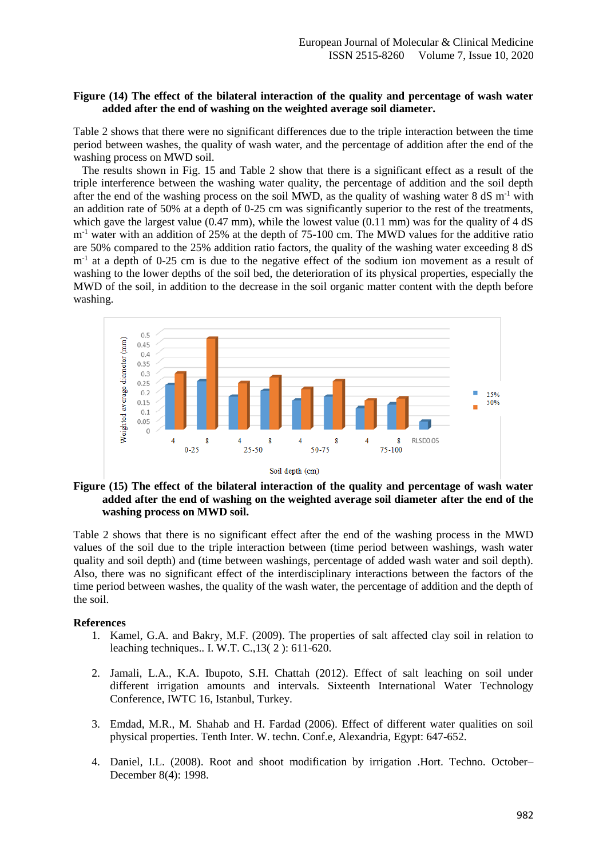# **Figure (14) The effect of the bilateral interaction of the quality and percentage of wash water added after the end of washing on the weighted average soil diameter.**

Table 2 shows that there were no significant differences due to the triple interaction between the time period between washes, the quality of wash water, and the percentage of addition after the end of the washing process on MWD soil.

 The results shown in Fig. 15 and Table 2 show that there is a significant effect as a result of the triple interference between the washing water quality, the percentage of addition and the soil depth after the end of the washing process on the soil MWD, as the quality of washing water  $8 \text{ dS} \text{ m}^{-1}$  with an addition rate of 50% at a depth of 0-25 cm was significantly superior to the rest of the treatments, which gave the largest value (0.47 mm), while the lowest value (0.11 mm) was for the quality of 4 dS m<sup>-1</sup> water with an addition of 25% at the depth of 75-100 cm. The MWD values for the additive ratio are 50% compared to the 25% addition ratio factors, the quality of the washing water exceeding 8 dS m<sup>-1</sup> at a depth of 0-25 cm is due to the negative effect of the sodium ion movement as a result of washing to the lower depths of the soil bed, the deterioration of its physical properties, especially the MWD of the soil, in addition to the decrease in the soil organic matter content with the depth before washing.



# **Figure (15) The effect of the bilateral interaction of the quality and percentage of wash water added after the end of washing on the weighted average soil diameter after the end of the washing process on MWD soil.**

Table 2 shows that there is no significant effect after the end of the washing process in the MWD values of the soil due to the triple interaction between (time period between washings, wash water quality and soil depth) and (time between washings, percentage of added wash water and soil depth). Also, there was no significant effect of the interdisciplinary interactions between the factors of the time period between washes, the quality of the wash water, the percentage of addition and the depth of the soil.

### **References**

- 1. Kamel, G.A. and Bakry, M.F. (2009). The properties of salt affected clay soil in relation to leaching techniques.. I. W.T. C.,13( 2 ): 611-620.
- 2. Jamali, L.A., K.A. Ibupoto, S.H. Chattah (2012). Effect of salt leaching on soil under different irrigation amounts and intervals. Sixteenth International Water Technology Conference, IWTC 16, Istanbul, Turkey.
- 3. Emdad, M.R., M. Shahab and H. Fardad (2006). Effect of different water qualities on soil physical properties. Tenth Inter. W. techn. Conf.e, Alexandria, Egypt: 647-652.
- 4. Daniel, I.L. (2008). Root and shoot modification by irrigation .Hort. Techno. October– December 8(4): 1998.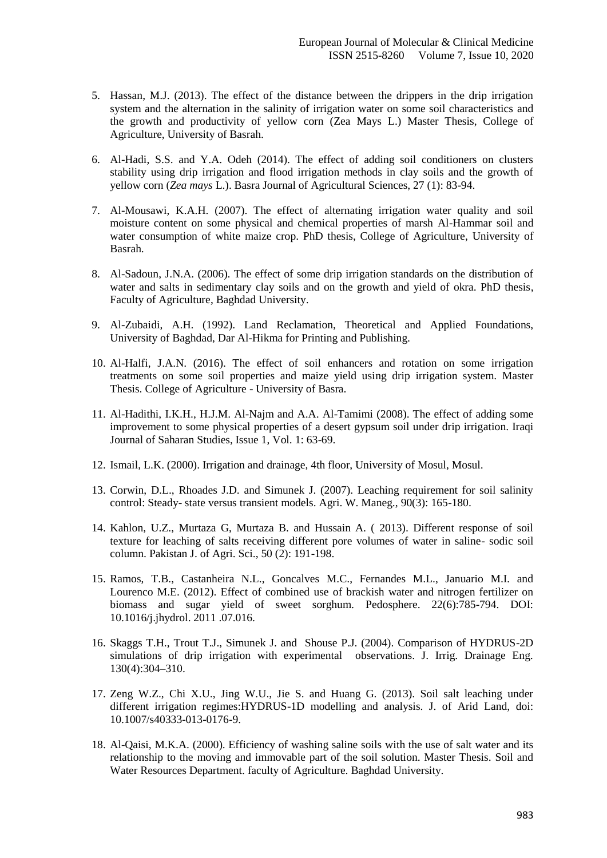- 5. Hassan, M.J. (2013). The effect of the distance between the drippers in the drip irrigation system and the alternation in the salinity of irrigation water on some soil characteristics and the growth and productivity of yellow corn (Zea Mays L.) Master Thesis, College of Agriculture, University of Basrah.
- 6. Al-Hadi, S.S. and Y.A. Odeh (2014). The effect of adding soil conditioners on clusters stability using drip irrigation and flood irrigation methods in clay soils and the growth of yellow corn (*Zea mays* L.). Basra Journal of Agricultural Sciences, 27 (1): 83-94.
- 7. Al-Mousawi, K.A.H. (2007). The effect of alternating irrigation water quality and soil moisture content on some physical and chemical properties of marsh Al-Hammar soil and water consumption of white maize crop. PhD thesis, College of Agriculture, University of Basrah.
- 8. Al-Sadoun, J.N.A. (2006). The effect of some drip irrigation standards on the distribution of water and salts in sedimentary clay soils and on the growth and yield of okra. PhD thesis, Faculty of Agriculture, Baghdad University.
- 9. Al-Zubaidi, A.H. (1992). Land Reclamation, Theoretical and Applied Foundations, University of Baghdad, Dar Al-Hikma for Printing and Publishing.
- 10. Al-Halfi, J.A.N. (2016). The effect of soil enhancers and rotation on some irrigation treatments on some soil properties and maize yield using drip irrigation system. Master Thesis. College of Agriculture - University of Basra.
- 11. Al-Hadithi, I.K.H., H.J.M. Al-Najm and A.A. Al-Tamimi (2008). The effect of adding some improvement to some physical properties of a desert gypsum soil under drip irrigation. Iraqi Journal of Saharan Studies, Issue 1, Vol. 1: 63-69.
- 12. Ismail, L.K. (2000). Irrigation and drainage, 4th floor, University of Mosul, Mosul.
- 13. Corwin, D.L., Rhoades J.D. and Simunek J. (2007). Leaching requirement for soil salinity control: Steady- state versus transient models. Agri. W. Maneg., 90(3): 165-180.
- 14. Kahlon, U.Z., Murtaza G, Murtaza B. and Hussain A. ( 2013). Different response of soil texture for leaching of salts receiving different pore volumes of water in saline- sodic soil column. Pakistan J. of Agri. Sci., 50 (2): 191-198.
- 15. Ramos, T.B., Castanheira N.L., Goncalves M.C., Fernandes M.L., Januario M.I. and Lourenco M.E. (2012). Effect of combined use of brackish water and nitrogen fertilizer on biomass and sugar yield of sweet sorghum. Pedosphere. 22(6):785-794. DOI: 10.1016/j.jhydrol. 2011 .07.016.
- 16. Skaggs T.H., Trout T.J., Simunek J. and Shouse P.J. (2004). Comparison of HYDRUS-2D simulations of drip irrigation with experimental observations. J. Irrig. Drainage Eng. 130(4):304–310.
- 17. Zeng W.Z., Chi X.U., Jing W.U., Jie S. and Huang G. (2013). Soil salt leaching under different irrigation regimes:HYDRUS-1D modelling and analysis. J. of Arid Land, doi: 10.1007/s40333-013-0176-9.
- 18. Al-Qaisi, M.K.A. (2000). Efficiency of washing saline soils with the use of salt water and its relationship to the moving and immovable part of the soil solution. Master Thesis. Soil and Water Resources Department. faculty of Agriculture. Baghdad University.